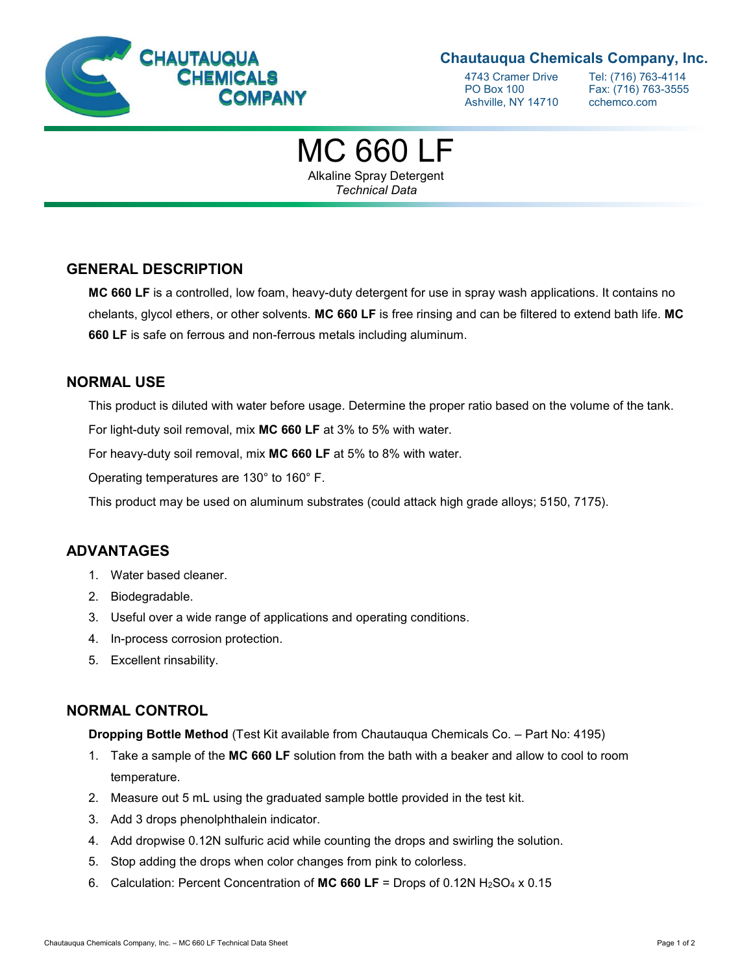

## **Chautauqua Chemicals Company, Inc.**

Ashville, NY 14710 cchemco.com

4743 Cramer Drive Tel: (716) 763-4114<br>PO Box 100 Fax: (716) 763-3555 Fax: (716) 763-3555

# MC 660 LF

Alkaline Spray Detergent *Technical Data*

## **GENERAL DESCRIPTION**

**MC 660 LF** is a controlled, low foam, heavy-duty detergent for use in spray wash applications. It contains no chelants, glycol ethers, or other solvents. **MC 660 LF** is free rinsing and can be filtered to extend bath life. **MC 660 LF** is safe on ferrous and non-ferrous metals including aluminum.

## **NORMAL USE**

This product is diluted with water before usage. Determine the proper ratio based on the volume of the tank.

For light-duty soil removal, mix **MC 660 LF** at 3% to 5% with water.

For heavy-duty soil removal, mix **MC 660 LF** at 5% to 8% with water.

Operating temperatures are 130° to 160° F.

This product may be used on aluminum substrates (could attack high grade alloys; 5150, 7175).

## **ADVANTAGES**

- 1. Water based cleaner.
- 2. Biodegradable.
- 3. Useful over a wide range of applications and operating conditions.
- 4. In-process corrosion protection.
- 5. Excellent rinsability.

## **NORMAL CONTROL**

**Dropping Bottle Method** (Test Kit available from Chautauqua Chemicals Co. – Part No: 4195)

- 1. Take a sample of the **MC 660 LF** solution from the bath with a beaker and allow to cool to room temperature.
- 2. Measure out 5 mL using the graduated sample bottle provided in the test kit.
- 3. Add 3 drops phenolphthalein indicator.
- 4. Add dropwise 0.12N sulfuric acid while counting the drops and swirling the solution.
- 5. Stop adding the drops when color changes from pink to colorless.
- 6. Calculation: Percent Concentration of **MC 660 LF** = Drops of 0.12N H2SO<sup>4</sup> x 0.15